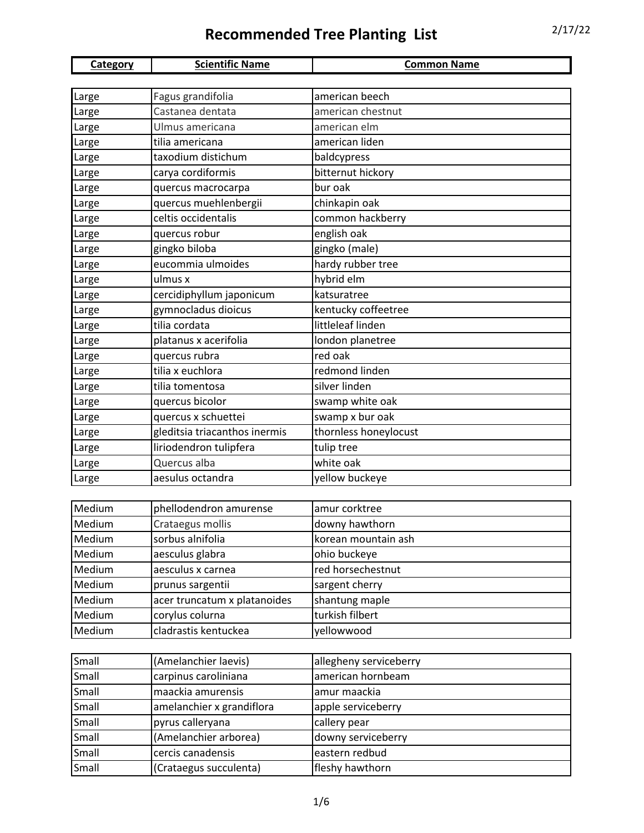## Recommended Tree Planting List 2/17/22

| <b>Category</b> | <b>Scientific Name</b>        | <b>Common Name</b>     |
|-----------------|-------------------------------|------------------------|
|                 |                               |                        |
| Large           | Fagus grandifolia             | american beech         |
| Large           | Castanea dentata              | american chestnut      |
| Large           | Ulmus americana               | american elm           |
| Large           | tilia americana               | american liden         |
| Large           | taxodium distichum            | baldcypress            |
| Large           | carya cordiformis             | bitternut hickory      |
| Large           | quercus macrocarpa            | bur oak                |
| Large           | quercus muehlenbergii         | chinkapin oak          |
| Large           | celtis occidentalis           | common hackberry       |
| Large           | quercus robur                 | english oak            |
| Large           | gingko biloba                 | gingko (male)          |
| Large           | eucommia ulmoides             | hardy rubber tree      |
| Large           | ulmus x                       | hybrid elm             |
| Large           | cercidiphyllum japonicum      | katsuratree            |
| Large           | gymnocladus dioicus           | kentucky coffeetree    |
| Large           | tilia cordata                 | littleleaf linden      |
| Large           | platanus x acerifolia         | london planetree       |
| Large           | quercus rubra                 | red oak                |
| Large           | tilia x euchlora              | redmond linden         |
| Large           | tilia tomentosa               | silver linden          |
| Large           | quercus bicolor               | swamp white oak        |
| Large           | quercus x schuettei           | swamp x bur oak        |
| Large           | gleditsia triacanthos inermis | thornless honeylocust  |
| Large           | liriodendron tulipfera        | tulip tree             |
| Large           | Quercus alba                  | white oak              |
| Large           | aesulus octandra              | yellow buckeye         |
|                 |                               |                        |
| Medium          | phellodendron amurense        | amur corktree          |
| Medium          | Crataegus mollis              | downy hawthorn         |
| Medium          | sorbus alnifolia              | korean mountain ash    |
| Medium          | aesculus glabra               | ohio buckeye           |
| Medium          | aesculus x carnea             | red horsechestnut      |
| Medium          | prunus sargentii              | sargent cherry         |
| Medium          | acer truncatum x platanoides  | shantung maple         |
| Medium          | corylus colurna               | turkish filbert        |
| Medium          | cladrastis kentuckea          | yellowwood             |
|                 |                               |                        |
| Small           | (Amelanchier laevis)          | allegheny serviceberry |
| Small           | carpinus caroliniana          | american hornbeam      |
| Small           | maackia amurensis             | amur maackia           |
| Small           | amelanchier x grandiflora     | apple serviceberry     |
| Small           | pyrus calleryana              | callery pear           |
| Small           | (Amelanchier arborea)         | downy serviceberry     |
| Small           | cercis canadensis             | eastern redbud         |
| Small           | (Crataegus succulenta)        | fleshy hawthorn        |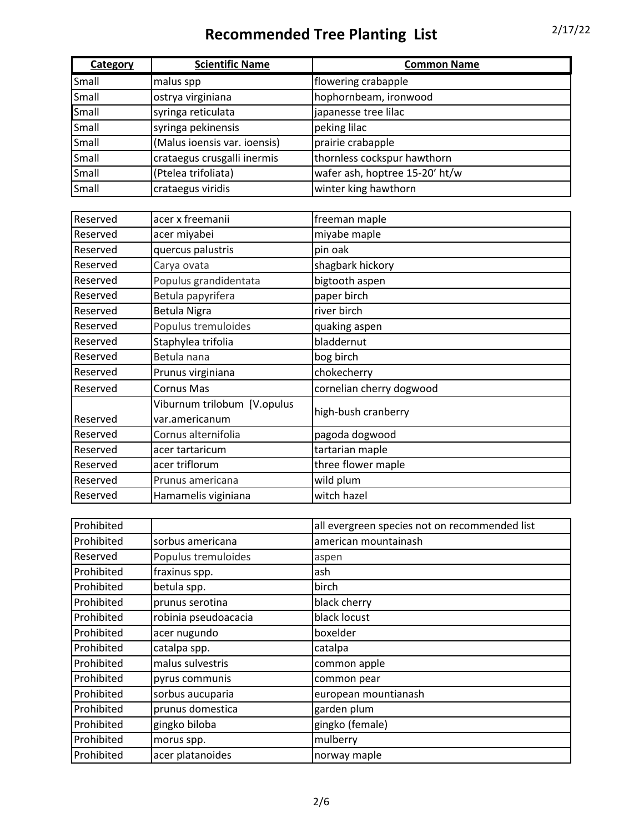## Recommended Tree Planting List 2/17/22

| Category | <b>Scientific Name</b>       | <b>Common Name</b>             |
|----------|------------------------------|--------------------------------|
| Small    | malus spp                    | flowering crabapple            |
| Small    | ostrya virginiana            | hophornbeam, ironwood          |
| Small    | syringa reticulata           | japanesse tree lilac           |
| Small    | syringa pekinensis           | peking lilac                   |
| Small    | (Malus ioensis var. ioensis) | prairie crabapple              |
| Small    | crataegus crusgalli inermis  | thornless cockspur hawthorn    |
| Small    | (Ptelea trifoliata)          | wafer ash, hoptree 15-20' ht/w |
| Small    | crataegus viridis            | winter king hawthorn           |
|          |                              |                                |
| Reserved | acer x freemanii             | freeman maple                  |
| Reserved | acer miyabei                 | miyabe maple                   |
| Reserved | quercus palustris            | pin oak                        |
| Reserved | Carya ovata                  | shagbark hickory               |
| Reserved | Populus grandidentata        | bigtooth aspen                 |
| Reserved | Betula papyrifera            | paper birch                    |
| Reserved | Betula Nigra                 | river birch                    |
| Reserved | Populus tremuloides          | quaking aspen                  |
| Reserved | Staphylea trifolia           | bladdernut                     |
| Reserved | Betula nana                  | bog birch                      |
| Reserved | Prunus virginiana            | chokecherry                    |
| Reserved | <b>Cornus Mas</b>            | cornelian cherry dogwood       |
|          | Viburnum trilobum [V.opulus  |                                |
| Reserved | var.americanum               | high-bush cranberry            |
| Reserved | Cornus alternifolia          | pagoda dogwood                 |
| Reserved | acer tartaricum              | tartarian maple                |
| Reserved | acer triflorum               | three flower maple             |
| Reserved | Prunus americana             | wild plum                      |
| Reserved | Hamamelis viginiana          | witch hazel                    |
|          |                              |                                |

| Prohibited |                      | all evergreen species not on recommended list |
|------------|----------------------|-----------------------------------------------|
| Prohibited | sorbus americana     | american mountainash                          |
| Reserved   | Populus tremuloides  | aspen                                         |
| Prohibited | fraxinus spp.        | ash                                           |
| Prohibited | betula spp.          | birch                                         |
| Prohibited | prunus serotina      | black cherry                                  |
| Prohibited | robinia pseudoacacia | black locust                                  |
| Prohibited | acer nugundo         | boxelder                                      |
| Prohibited | catalpa spp.         | catalpa                                       |
| Prohibited | malus sulvestris     | common apple                                  |
| Prohibited | pyrus communis       | common pear                                   |
| Prohibited | sorbus aucuparia     | european mountianash                          |
| Prohibited | prunus domestica     | garden plum                                   |
| Prohibited | gingko biloba        | gingko (female)                               |
| Prohibited | morus spp.           | mulberry                                      |
| Prohibited | acer platanoides     | norway maple                                  |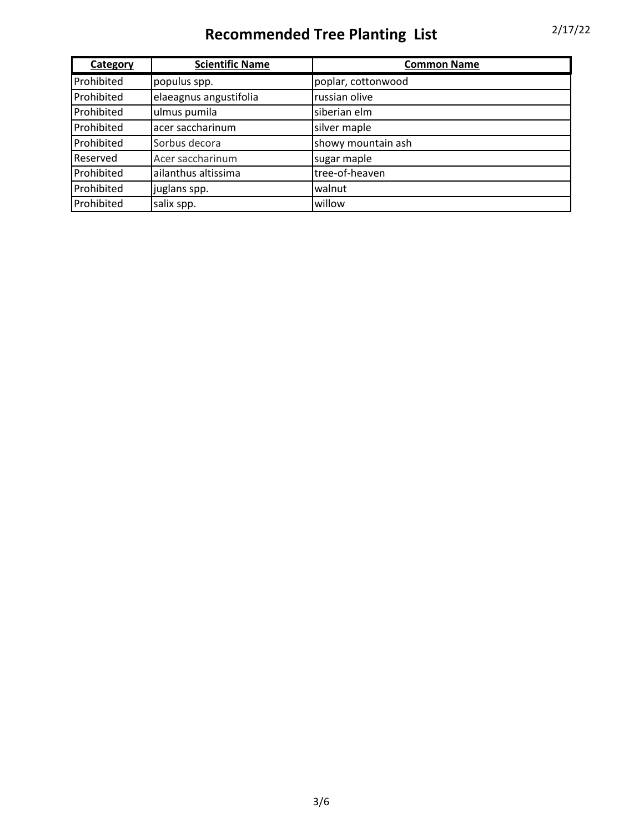## Recommended Tree Planting List 2/17/22

| Category   | <b>Scientific Name</b> | <b>Common Name</b> |
|------------|------------------------|--------------------|
| Prohibited | populus spp.           | poplar, cottonwood |
| Prohibited | elaeagnus angustifolia | russian olive      |
| Prohibited | ulmus pumila           | siberian elm       |
| Prohibited | acer saccharinum       | silver maple       |
| Prohibited | Sorbus decora          | showy mountain ash |
| Reserved   | Acer saccharinum       | sugar maple        |
| Prohibited | ailanthus altissima    | tree-of-heaven     |
| Prohibited | juglans spp.           | walnut             |
| Prohibited | salix spp.             | willow             |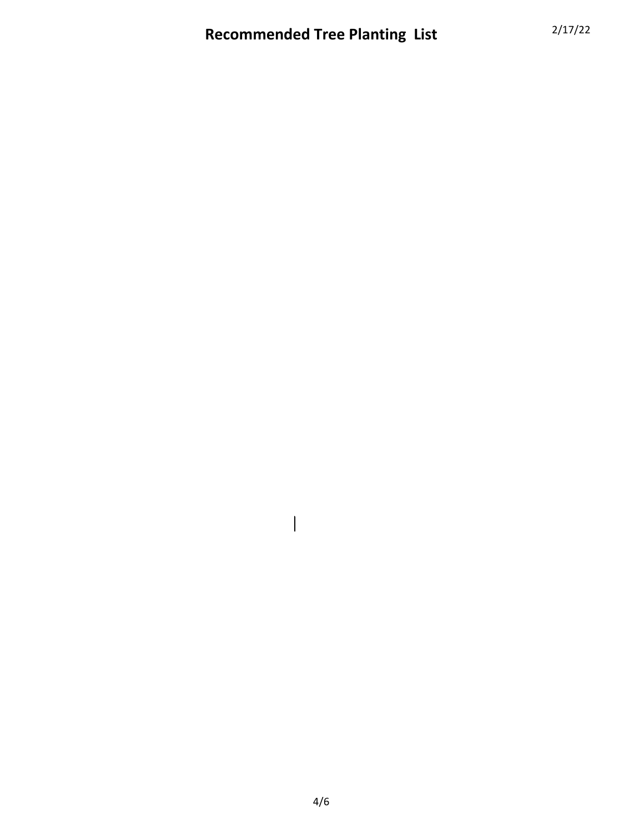$\begin{array}{c} \hline \end{array}$